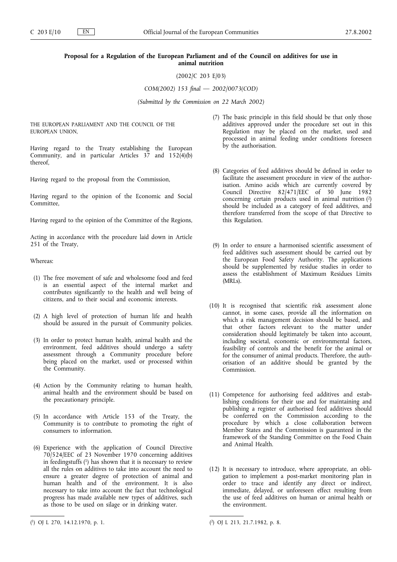# **Proposal for a Regulation of the European Parliament and of the Council on additives for use in animal nutrition**

(2002/C 203 E/03)

*COM(2002) 153 final — 2002/0073(COD)*

*(Submitted by the Commission on 22 March 2002)*

THE EUROPEAN PARLIAMENT AND THE COUNCIL OF THE EUROPEAN UNION,

Having regard to the Treaty establishing the European Community, and in particular Articles  $37$  and  $152(4)(b)$ thereof,

Having regard to the proposal from the Commission,

Having regard to the opinion of the Economic and Social Committee,

Having regard to the opinion of the Committee of the Regions,

Acting in accordance with the procedure laid down in Article 251 of the Treaty,

Whereas:

- (1) The free movement of safe and wholesome food and feed is an essential aspect of the internal market and contributes significantly to the health and well being of citizens, and to their social and economic interests.
- (2) A high level of protection of human life and health should be assured in the pursuit of Community policies.
- (3) In order to protect human health, animal health and the environment, feed additives should undergo a safety assessment through a Community procedure before being placed on the market, used or processed within the Community.
- (4) Action by the Community relating to human health, animal health and the environment should be based on the precautionary principle.
- (5) In accordance with Article 153 of the Treaty, the Community is to contribute to promoting the right of consumers to information.
- (6) Experience with the application of Council Directive 70/524/EEC of 23 November 1970 concerning additives in feedingstuffs  $(1)$  has shown that it is necessary to review all the rules on additives to take into account the need to ensure a greater degree of protection of animal and human health and of the environment. It is also necessary to take into account the fact that technological progress has made available new types of additives, such as those to be used on silage or in drinking water.
- (7) The basic principle in this field should be that only those additives approved under the procedure set out in this Regulation may be placed on the market, used and processed in animal feeding under conditions foreseen by the authorisation.
- (8) Categories of feed additives should be defined in order to facilitate the assessment procedure in view of the authorisation. Amino acids which are currently covered by Council Directive 82/471/EEC of 30 June 1982 concerning certain products used in animal nutrition (2) should be included as a category of feed additives, and therefore transferred from the scope of that Directive to this Regulation.
- (9) In order to ensure a harmonised scientific assessment of feed additives such assessment should be carried out by the European Food Safety Authority. The applications should be supplemented by residue studies in order to assess the establishment of Maximum Residues Limits (MRLs).
- (10) It is recognised that scientific risk assessment alone cannot, in some cases, provide all the information on which a risk management decision should be based, and that other factors relevant to the matter under consideration should legitimately be taken into account, including societal, economic or environmental factors, feasibility of controls and the benefit for the animal or for the consumer of animal products. Therefore, the authorisation of an additive should be granted by the Commission.
- (11) Competence for authorising feed additives and establishing conditions for their use and for maintaining and publishing a register of authorised feed additives should be conferred on the Commission according to the procedure by which a close collaboration between Member States and the Commission is guaranteed in the framework of the Standing Committee on the Food Chain and Animal Health.
- (12) It is necessary to introduce, where appropriate, an obligation to implement a post-market monitoring plan in order to trace and identify any direct or indirect, immediate, delayed, or unforeseen effect resulting from the use of feed additives on human or animal health or the environment.

<sup>(</sup> 1) OJ L 270, 14.12.1970, p. 1. (

<sup>2)</sup> OJ L 213, 21.7.1982, p. 8.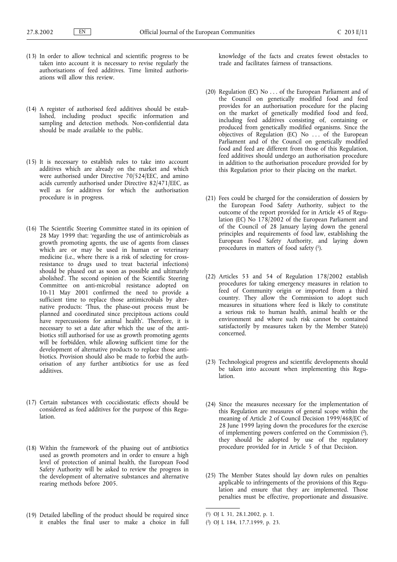- (13) In order to allow technical and scientific progress to be taken into account it is necessary to revise regularly the authorisations of feed additives. Time limited authorisations will allow this review.
- (14) A register of authorised feed additives should be established, including product specific information and sampling and detection methods. Non-confidential data should be made available to the public.
- $(15)$  It is necessary to establish rules to take into account additives which are already on the market and which were authorised under Directive 70/524/EEC, and amino acids currently authorised under Directive 82/471/EEC, as well as for additives for which the authorisation procedure is in progress.
- (16) The Scientific Steering Committee stated in its opinion of 28 May 1999 that: 'regarding the use of antimicrobials as growth promoting agents, the use of agents from classes which are or may be used in human or veterinary medicine (i.e., where there is a risk of selecting for crossresistance to drugs used to treat bacterial infections) should be phased out as soon as possible and ultimately abolished'. The second opinion of the Scientific Steering Committee on anti-microbial resistance adopted on 10-11 May 2001 confirmed the need to provide a sufficient time to replace those antimicrobials by alternative products: 'Thus, the phase-out process must be planned and coordinated since precipitous actions could have repercussions for animal health'. Therefore, it is necessary to set a date after which the use of the antibiotics still authorised for use as growth promoting agents will be forbidden, while allowing sufficient time for the development of alternative products to replace those antibiotics. Provision should also be made to forbid the authorisation of any further antibiotics for use as feed additives.
- (17) Certain substances with coccidiostatic effects should be considered as feed additives for the purpose of this Regulation.
- (18) Within the framework of the phasing out of antibiotics used as growth promoters and in order to ensure a high level of protection of animal health, the European Food Safety Authority will be asked to review the progress in the development of alternative substances and alternative rearing methods before 2005.
- (19) Detailed labelling of the product should be required since it enables the final user to make a choice in full

knowledge of the facts and creates fewest obstacles to trade and facilitates fairness of transactions.

- (20) Regulation (EC) No . . . of the European Parliament and of the Council on genetically modified food and feed provides for an authorisation procedure for the placing on the market of genetically modified food and feed, including feed additives consisting of, containing or produced from genetically modified organisms. Since the objectives of Regulation (EC) No . . . of the European Parliament and of the Council on genetically modified food and feed are different from those of this Regulation, feed additives should undergo an authorisation procedure in addition to the authorisation procedure provided for by this Regulation prior to their placing on the market.
- (21) Fees could be charged for the consideration of dossiers by the European Food Safety Authority, subject to the outcome of the report provided for in Article 45 of Regulation (EC) No 178/2002 of the European Parliament and of the Council of 28 January laying down the general principles and requirements of food law, establishing the European Food Safety Authority, and laying down procedures in matters of food safety (1).
- (22) Articles 53 and 54 of Regulation 178/2002 establish procedures for taking emergency measures in relation to feed of Community origin or imported from a third country. They allow the Commission to adopt such measures in situations where feed is likely to constitute a serious risk to human health, animal health or the environment and where such risk cannot be contained satisfactorily by measures taken by the Member State(s) concerned.
- (23) Technological progress and scientific developments should be taken into account when implementing this Regulation.
- (24) Since the measures necessary for the implementation of this Regulation are measures of general scope within the meaning of Article 2 of Council Decision 1999/468/EC of 28 June 1999 laying down the procedures for the exercise of implementing powers conferred on the Commission (2), they should be adopted by use of the regulatory procedure provided for in Article 5 of that Decision.
- (25) The Member States should lay down rules on penalties applicable to infringements of the provisions of this Regulation and ensure that they are implemented. Those penalties must be effective, proportionate and dissuasive.

<sup>(</sup> 1) OJ L 31, 28.1.2002, p. 1.

<sup>(</sup> 2) OJ L 184, 17.7.1999, p. 23.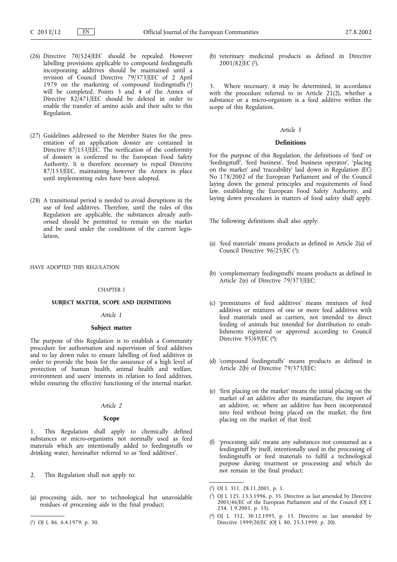- (26) Directive 70/524/EEC should be repealed. However labelling provisions applicable to compound feedingstuffs incorporating additives should be maintained until a revision of Council Directive 79/373/EEC of 2 April 1979 on the marketing of compound feedingstuffs  $(1)$ will be completed. Points 3 and 4 of the Annex of Directive 82<sup>[</sup>471<sup>[EEC</sup> should be deleted in order to enable the transfer of amino acids and their salts to this Regulation.
- (27) Guidelines addressed to the Member States for the presentation of an application dossier are contained in Directive  $87/153/EEC$ . The verification of the conformity of dossiers is conferred to the European Food Safety Authority. It is therefore necessary to repeal Directive 87/153/EEC, maintaining however the Annex in place until implementing rules have been adopted.
- (28) A transitional period is needed to avoid disruptions in the use of feed additives. Therefore, until the rules of this Regulation are applicable, the substances already authorised should be permitted to remain on the market and be used under the conditions of the current legis**lation**

HAVE ADOPTED THIS REGULATION:

### CHAPTER I

## **SUBJECT MATTER, SCOPE AND DEFINITIONS**

## *Article 1*

### **Subject matter**

The purpose of this Regulation is to establish a Community procedure for authorisation and supervision of feed additives and to lay down rules to ensure labelling of feed additives in order to provide the basis for the assurance of a high level of protection of human health, animal health and welfare, environment and users' interests in relation to feed additives, whilst ensuring the effective functioning of the internal market.

# *Article 2*

# **Scope**

1. This Regulation shall apply to chemically defined substances or micro-organisms not normally used as feed materials which are intentionally added to feedingstuffs or drinking water, hereinafter referred to as 'feed additives'.

- 2. This Regulation shall not apply to:
- (a) processing aids, nor to technological but unavoidable residues of processing aids in the final product;
- ( 1) OJ L 86, 6.4.1979, p. 30.

(b) veterinary medicinal products as defined in Directive 2001/82/EC (2).

Where necessary, it may be determined, in accordance with the procedure referred to in Article 21(2), whether a substance or a micro-organism is a feed additive within the scope of this Regulation.

### *Article 3*

## **Definitions**

For the purpose of this Regulation, the definitions of 'feed' or 'feedingstuff', 'feed business', 'feed business operator', 'placing on the market' and 'traceability' laid down in Regulation (EC) No 178/2002 of the European Parliament and of the Council laying down the general principles and requirements of food law, establishing the European Food Safety Authority, and laying down procedures in matters of food safety shall apply.

The following definitions shall also apply:

- (a) 'feed materials' means products as defined in Article 2(a) of Council Directive  $96/\overline{2}5/\text{EC}$  (3);
- (b) 'complementary feedingstuffs' means products as defined in Article 2(e) of Directive 79/373/EEC;
- (c) 'premixtures of feed additives' means mixtures of feed additives or mixtures of one or more feed additives with feed materials used as carriers, not intended to direct feeding of animals but intended for distribution to establishments registered or approved according to Council Directive  $95/69/EC$  (4);
- (d) 'compound feedingstuffs' means products as defined in Article 2(b) of Directive 79/373/EEC;
- (e) 'first placing on the market' means the initial placing on the market of an additive after its manufacture, the import of an additive, or, where an additive has been incorporated into feed without being placed on the market, the first placing on the market of that feed;
- (f) 'processing aids' means any substances not consumed as a feedingstuff by itself, intentionally used in the processing of feedingstuffs or feed materials to fulfil a technological purpose during treatment or processing and which do not remain in the final product;

<sup>(</sup> 2) OJ L 311, 28.11.2001, p. 1.

<sup>(</sup> 3) OJ L 125, 13.5.1996, p. 35. Directive as last amended by Directive 2001/46/EC of the European Parliament and of the Council (OJ L 234, 1.9.2001, p. 55).

<sup>(</sup> 4) OJ L 332, 30.12.1995, p. 15. Directive as last amended by Directive 1999/20/EC (OJ L 80, 25.3.1999, p. 20).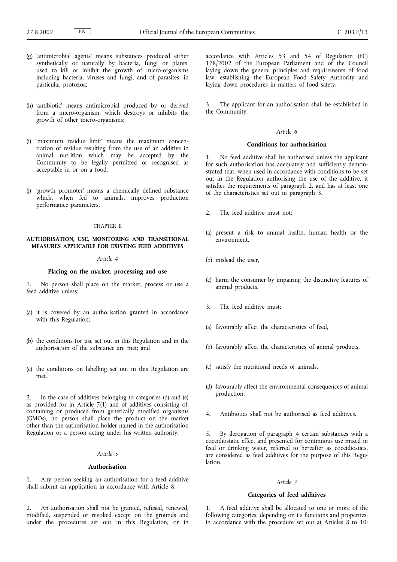- (g) 'antimicrobial agents' means substances produced either synthetically or naturally by bacteria, fungi or plants, used to kill or inhibit the growth of micro-organisms including bacteria, viruses and fungi, and of parasites, in particular protozoa;
- (h) 'antibiotic' means antimicrobial produced by or derived from a micro-organism, which destroys or inhibits the growth of other micro-organisms;
- (i) 'maximum residue limit' means the maximum concentration of residue resulting from the use of an additive in animal nutrition which may be accepted by the Community to be legally permitted or recognised as acceptable in or on a food;
- (j) 'growth promoter' means a chemically defined substance which, when fed to animals, improves production performance parameters.

#### CHAPTER II

## **AUTHORISATION, USE, MONITORING AND TRANSITIONAL MEASURES APPLICABLE FOR EXISTING FEED ADDITIVES**

## *Article 4*

## **Placing on the market, processing and use**

1. No person shall place on the market, process or use a feed additive unless:

- (a) it is covered by an authorisation granted in accordance with this Regulation;
- (b) the conditions for use set out in this Regulation and in the authorisation of the substance are met; and
- (c) the conditions on labelling set out in this Regulation are met.

2. In the case of additives belonging to categories (d) and (e) as provided for in Article 7(1) and of additives consisting of, containing or produced from genetically modified organisms (GMOs), no person shall place the product on the market other than the authorisation holder named in the authorisation Regulation or a person acting under his written authority.

### *Article 5*

#### **Authorisation**

1. Any person seeking an authorisation for a feed additive shall submit an application in accordance with Article 8.

2. An authorisation shall not be granted, refused, renewed, modified, suspended or revoked except on the grounds and under the procedures set out in this Regulation, or in

accordance with Articles 53 and 54 of Regulation (EC) 178/2002 of the European Parliament and of the Council laying down the general principles and requirements of food law, establishing the European Food Safety Authority and laying down procedures in matters of food safety.

3. The applicant for an authorisation shall be established in the Community.

#### *Article 6*

### **Conditions for authorisation**

1. No feed additive shall be authorised unless the applicant for such authorisation has adequately and sufficiently demonstrated that, when used in accordance with conditions to be set out in the Regulation authorising the use of the additive, it satisfies the requirements of paragraph 2, and has at least one of the characteristics set out in paragraph 3.

- 2. The feed additive must not:
- (a) present a risk to animal health, human health or the environment,
- (b) mislead the user,
- (c) harm the consumer by impairing the distinctive features of animal products.
- 3. The feed additive must:
- (a) favourably affect the characteristics of feed,
- (b) favourably affect the characteristics of animal products,
- (c) satisfy the nutritional needs of animals,
- (d) favourably affect the environmental consequences of animal production.
- 4. Antibiotics shall not be authorised as feed additives.

5. By derogation of paragraph 4 certain substances with a coccidiostatic effect and presented for continuous use mixed in feed or drinking water, referred to hereafter as coccidiostats, are considered as feed additives for the purpose of this Regulation.

### *Article 7*

### **Categories of feed additives**

1. A feed additive shall be allocated to one or more of the following categories, depending on its functions and properties, in accordance with the procedure set out at Articles 8 to 10: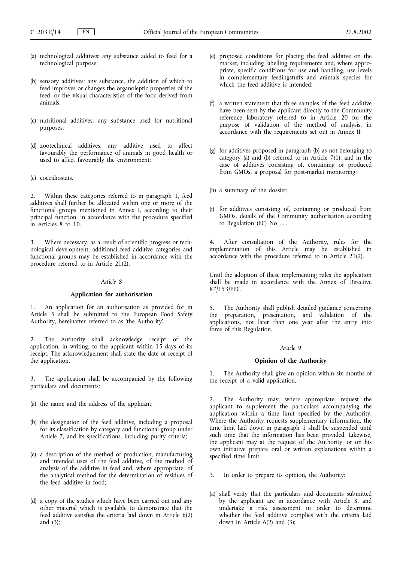- (a) technological additives: any substance added to feed for a technological purpose;
- (b) sensory additives: any substance, the addition of which to feed improves or changes the organoleptic properties of the feed, or the visual characteristics of the food derived from animals;
- (c) nutritional additives: any substance used for nutritional purposes;
- (d) zootechnical additives: any additive used to affect favourably the performance of animals in good health or used to affect favourably the environment;
- (e) coccidiostats.

2. Within these categories referred to in paragraph 1, feed additives shall further be allocated within one or more of the functional groups mentioned in Annex I, according to their principal function, in accordance with the procedure specified in Articles 8 to10.

3. Where necessary, as a result of scientific progress or technological development, additional feed additive categories and functional groups may be established in accordance with the procedure referred to in Article 21(2).

# *Article 8*

### **Application for authorisation**

1. An application for an authorisation as provided for in Article 5 shall be submitted to the European Food Safety Authority, hereinafter referred to as 'the Authority'.

2. The Authority shall acknowledge receipt of the application, in writing, to the applicant within 15 days of its receipt. The acknowledgement shall state the date of receipt of the application.

3. The application shall be accompanied by the following particulars and documents:

- (a) the name and the address of the applicant;
- (b) the designation of the feed additive, including a proposal for its classification by category and functional group under Article 7, and its specifications, including purity criteria;
- (c) a description of the method of production, manufacturing and intended uses of the feed additive, of the method of analysis of the additive in feed and, where appropriate, of the analytical method for the determination of residues of the feed additive in food;
- (d) a copy of the studies which have been carried out and any other material which is available to demonstrate that the feed additive satisfies the criteria laid down in Article 6(2) and (3);
- (e) proposed conditions for placing the feed additive on the market, including labelling requirements and, where appropriate, specific conditions for use and handling, use levels in complementary feedingstuffs and animals species for which the feed additive is intended;
- (f) a written statement that three samples of the feed additive have been sent by the applicant directly to the Community reference laboratory referred to in Article 20 for the purpose of validation of the method of analysis, in accordance with the requirements set out in Annex II;
- (g) for additives proposed in paragraph (b) as not belonging to category (a) and  $(b)$  referred to in Article 7(1), and in the case of additives consisting of, containing or produced from GMOs, a proposal for post-market monitoring;
- (h) a summary of the dossier;
- (i) for additives consisting of, containing or produced from GMOs, details of the Community authorisation according to Regulation (EC) No  $\dots$

After consultation of the Authority, rules for the implementation of this Article may be established in accordance with the procedure referred to in Article 21(2).

Until the adoption of these implementing rules the application shall be made in accordance with the Annex of Directive 87/153/EEC.

5. The Authority shall publish detailed guidance concerning the preparation, presentation, and validation of the applications, not later than one year after the entry into force of this Regulation.

## *Article 9*

## **Opinion of the Authority**

The Authority shall give an opinion within six months of the receipt of a valid application.

2. The Authority may, where appropriate, request the applicant to supplement the particulars accompanying the application within a time limit specified by the Authority. Where the Authority requests supplementary information, the time limit laid down in paragraph 1 shall be suspended until such time that the information has been provided. Likewise, the applicant may at the request of the Authority, or on his own initiative prepare oral or written explanations within a specified time limit.

- 3. In order to prepare its opinion, the Authority:
- (a) shall verify that the particulars and documents submitted by the applicant are in accordance with Article 8, and undertake a risk assessment in order to determine whether the feed additive complies with the criteria laid down in Article 6(2) and (3);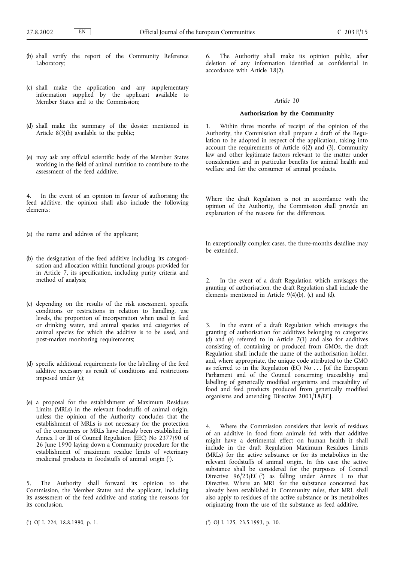- (b) shall verify the report of the Community Reference Laboratory;
- (c) shall make the application and any supplementary information supplied by the applicant available to Member States and to the Commission:
- (d) shall make the summary of the dossier mentioned in Article  $8(3)(h)$  available to the public;
- (e) may ask any official scientific body of the Member States working in the field of animal nutrition to contribute to the assessment of the feed additive.

4. In the event of an opinion in favour of authorising the feed additive, the opinion shall also include the following elements:

- (a) the name and address of the applicant;
- (b) the designation of the feed additive including its categorisation and allocation within functional groups provided for in Article 7, its specification, including purity criteria and method of analysis;
- (c) depending on the results of the risk assessment, specific conditions or restrictions in relation to handling, use levels, the proportion of incorporation when used in feed or drinking water, and animal species and categories of animal species for which the additive is to be used, and post-market monitoring requirements;
- (d) specific additional requirements for the labelling of the feed additive necessary as result of conditions and restrictions imposed under (c);
- (e) a proposal for the establishment of Maximum Residues Limits (MRLs) in the relevant foodstuffs of animal origin, unless the opinion of the Authority concludes that the establishment of MRLs is not necessary for the protection of the consumers or MRLs have already been established in Annex I or III of Council Regulation (EEC) No 2377/90 of 26 June 1990 laying down a Community procedure for the establishment of maximum residue limits of veterinary medicinal products in foodstuffs of animal origin (1).

5. The Authority shall forward its opinion to the Commission, the Member States and the applicant, including its assessment of the feed additive and stating the reasons for its conclusion.

6. The Authority shall make its opinion public, after deletion of any information identified as confidential in accordance with Article 18(2).

## *Article 10*

### **Authorisation by the Community**

1. Within three months of receipt of the opinion of the Authority, the Commission shall prepare a draft of the Regulation to be adopted in respect of the application, taking into account the requirements of Article  $6(2)$  and  $(3)$ , Community law and other legitimate factors relevant to the matter under consideration and in particular benefits for animal health and welfare and for the consumer of animal products.

Where the draft Regulation is not in accordance with the opinion of the Authority, the Commission shall provide an explanation of the reasons for the differences.

In exceptionally complex cases, the three-months deadline may be extended.

2. In the event of a draft Regulation which envisages the granting of authorisation, the draft Regulation shall include the elements mentioned in Article  $9(4)(b)$ , (c) and (d).

In the event of a draft Regulation which envisages the granting of authorisation for additives belonging to categories  $(d)$  and  $(e)$  referred to in Article 7(1) and also for additives consisting of, containing or produced from GMOs, the draft Regulation shall include the name of the authorisation holder, and, where appropriate, the unique code attributed to the GMO as referred to in the Regulation (EC) No . . . [of the European Parliament and of the Council concerning traceability and labelling of genetically modified organisms and traceability of food and feed products produced from genetically modified organisms and amending Directive 2001/18/EC].

Where the Commission considers that levels of residues of an additive in food from animals fed with that additive might have a detrimental effect on human health it shall include in the draft Regulation Maximum Residues Limits (MRLs) for the active substance or for its metabolites in the relevant foodstuffs of animal origin. In this case the active substance shall be considered for the purposes of Council Directive  $96/23/EC$  (<sup>2</sup>) as falling under Annex I to that Directive. Where an MRL for the substance concerned has already been established in Community rules, that MRL shall also apply to residues of the active substance or its metabolites originating from the use of the substance as feed additive.

<sup>(</sup> 1) OJ L 224, 18.8.1990, p. 1. (

<sup>2)</sup> OJ L 125, 23.5.1993, p. 10.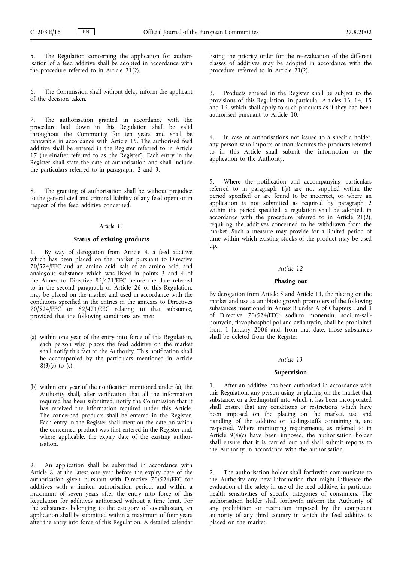The Regulation concerning the application for authorisation of a feed additive shall be adopted in accordance with the procedure referred to in Article  $21(2)$ .

6. The Commission shall without delay inform the applicant of the decision taken.

7. The authorisation granted in accordance with the procedure laid down in this Regulation shall be valid throughout the Community for ten years and shall be renewable in accordance with Article 15. The authorised feed additive shall be entered in the Register referred to in Article 17 (hereinafter referred to as 'the Register'). Each entry in the Register shall state the date of authorisation and shall include the particulars referred to in paragraphs 2 and 3.

8. The granting of authorisation shall be without prejudice to the general civil and criminal liability of any feed operator in respect of the feed additive concerned.

## *Article 11*

### **Status of existing products**

1. By way of derogation from Article 4, a feed additive which has been placed on the market pursuant to Directive  $70/524/EEC$  and an amino acid, salt of an amino acid, and analogous substance which was listed in points 3 and 4 of the Annex to Directive  $82/471/EEC$  before the date referred to in the second paragraph of Article 26 of this Regulation, may be placed on the market and used in accordance with the conditions specified in the entries in the annexes to Directives 70/524/EEC or 82/471/EEC relating to that substance, provided that the following conditions are met:

- (a) within one year of the entry into force of this Regulation, each person who places the feed additive on the market shall notify this fact to the Authority. This notification shall be accompanied by the particulars mentioned in Article  $8(3)(a)$  to (c);
- (b) within one year of the notification mentioned under (a), the Authority shall, after verification that all the information required has been submitted, notify the Commission that it has received the information required under this Article. The concerned products shall be entered in the Register. Each entry in the Register shall mention the date on which the concerned product was first entered in the Register and, where applicable, the expiry date of the existing authorisation.

2. An application shall be submitted in accordance with Article 8, at the latest one year before the expiry date of the authorisation given pursuant with Directive  $70/524/EEC$  for additives with a limited authorisation period, and within a maximum of seven years after the entry into force of this Regulation for additives authorised without a time limit. For the substances belonging to the category of coccidiostats, an application shall be submitted within a maximum of four years after the entry into force of this Regulation. A detailed calendar listing the priority order for the re-evaluation of the different classes of additives may be adopted in accordance with the procedure referred to in Article 21(2).

Products entered in the Register shall be subject to the provisions of this Regulation, in particular Articles 13, 14, 15 and 16, which shall apply to such products as if they had been authorised pursuant to Article 10.

4. In case of authorisations not issued to a specific holder, any person who imports or manufactures the products referred to in this Article shall submit the information or the application to the Authority.

Where the notification and accompanying particulars referred to in paragraph  $1(a)$  are not supplied within the period specified or are found to be incorrect, or where an application is not submitted as required by paragraph 2 within the period specified, a regulation shall be adopted, in accordance with the procedure referred to in Article 21(2), requiring the additives concerned to be withdrawn from the market. Such a measure may provide for a limited period of time within which existing stocks of the product may be used up.

# *Article 12*

## **Phasing out**

By derogation from Article 5 and Article 11, the placing on the market and use as antibiotic growth promoters of the following substances mentioned in Annex B under A of Chapters I and II of Directive 70/524/EEC: sodium monensin, sodium-salinomycin, flavophospholipol and avilamycin, shall be prohibited from 1 January 2006 and, from that date, those substances shall be deleted from the Register.

#### *Article 13*

### **Supervision**

After an additive has been authorised in accordance with this Regulation, any person using or placing on the market that substance, or a feedingstuff into which it has been incorporated shall ensure that any conditions or restrictions which have been imposed on the placing on the market, use and handling of the additive or feedingstuffs containing it, are respected. Where monitoring requirements, as referred to in Article 9(4)(c) have been imposed, the authorisation holder shall ensure that it is carried out and shall submit reports to the Authority in accordance with the authorisation.

2. The authorisation holder shall forthwith communicate to the Authority any new information that might influence the evaluation of the safety in use of the feed additive, in particular health sensitivities of specific categories of consumers. The authorisation holder shall forthwith inform the Authority of any prohibition or restriction imposed by the competent authority of any third country in which the feed additive is placed on the market.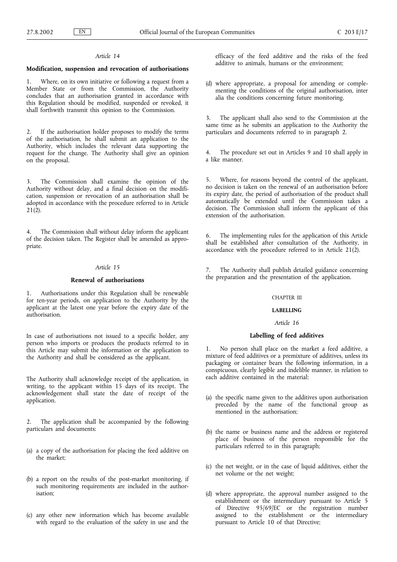### *Article 14*

### **Modification, suspension and revocation of authorisations**

1. Where, on its own initiative or following a request from a Member State or from the Commission, the Authority concludes that an authorisation granted in accordance with this Regulation should be modified, suspended or revoked, it shall forthwith transmit this opinion to the Commission.

2. If the authorisation holder proposes to modify the terms of the authorisation, he shall submit an application to the Authority, which includes the relevant data supporting the request for the change. The Authority shall give an opinion on the proposal.

3. The Commission shall examine the opinion of the Authority without delay, and a final decision on the modification, suspension or revocation of an authorisation shall be adopted in accordance with the procedure referred to in Article  $21(2)$ .

4. The Commission shall without delay inform the applicant of the decision taken. The Register shall be amended as appropriate.

## *Article 15*

### **Renewal of authorisations**

1. Authorisations under this Regulation shall be renewable for ten-year periods, on application to the Authority by the applicant at the latest one year before the expiry date of the authorisation.

In case of authorisations not issued to a specific holder, any person who imports or produces the products referred to in this Article may submit the information or the application to the Authority and shall be considered as the applicant.

The Authority shall acknowledge receipt of the application, in writing, to the applicant within 15 days of its receipt. The acknowledgement shall state the date of receipt of the application.

2. The application shall be accompanied by the following particulars and documents:

- (a) a copy of the authorisation for placing the feed additive on the market;
- (b) a report on the results of the post-market monitoring, if such monitoring requirements are included in the authorisation;
- (c) any other new information which has become available with regard to the evaluation of the safety in use and the

efficacy of the feed additive and the risks of the feed additive to animals, humans or the environment;

(d) where appropriate, a proposal for amending or complementing the conditions of the original authorisation, inter alia the conditions concerning future monitoring.

3. The applicant shall also send to the Commission at the same time as he submits an application to the Authority the particulars and documents referred to in paragraph 2.

4. The procedure set out in Articles 9 and 10 shall apply in a like manner.

5. Where, for reasons beyond the control of the applicant, no decision is taken on the renewal of an authorisation before its expiry date, the period of authorisation of the product shall automatically be extended until the Commission takes a decision. The Commission shall inform the applicant of this extension of the authorisation.

The implementing rules for the application of this Article shall be established after consultation of the Authority, in accordance with the procedure referred to in Article 21(2).

7. The Authority shall publish detailed guidance concerning the preparation and the presentation of the application.

#### CHAPTER III

## **LABELLING**

#### *Article 16*

## **Labelling of feed additives**

1. No person shall place on the market a feed additive, a mixture of feed additives or a premixture of additives, unless its packaging or container bears the following information, in a conspicuous, clearly legible and indelible manner, in relation to each additive contained in the material:

- (a) the specific name given to the additives upon authorisation preceded by the name of the functional group as mentioned in the authorisation;
- (b) the name or business name and the address or registered place of business of the person responsible for the particulars referred to in this paragraph;
- (c) the net weight, or in the case of liquid additives, either the net volume or the net weight;
- (d) where appropriate, the approval number assigned to the establishment or the intermediary pursuant to Article 5 of Directive 95/69/EC or the registration number assigned to the establishment or the intermediary pursuant to Article 10 of that Directive;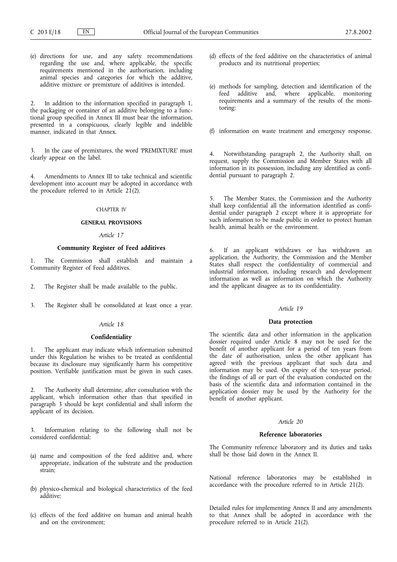(e) directions for use, and any safety recommendations regarding the use and, where applicable, the specific requirements mentioned in the authorisation, including animal species and categories for which the additive, additive mixture or premixture of additives is intended.

2. In addition to the information specified in paragraph 1, the packaging or container of an additive belonging to a functional group specified in Annex III must bear the information, presented in a conspicuous, clearly legible and indelible manner, indicated in that Annex.

3. In the case of premixtures, the word 'PREMIXTURE' must clearly appear on the label.

4. Amendments to Annex III to take technical and scientific development into account may be adopted in accordance with the procedure referred to in Article  $21(2)$ .

### CHAPTER IV

### **GENERAL PROVISIONS**

## *Article 17*

# **Community Register of Feed additives**

1. The Commission shall establish and maintain a Community Register of Feed additives.

- 2. The Register shall be made available to the public.
- 3. The Register shall be consolidated at least once a year.

## *Article 18*

### **Confidentiality**

1. The applicant may indicate which information submitted under this Regulation he wishes to be treated as confidential because its disclosure may significantly harm his competitive position. Verifiable justification must be given in such cases.

2. The Authority shall determine, after consultation with the applicant, which information other than that specified in paragraph 3 should be kept confidential and shall inform the applicant of its decision.

Information relating to the following shall not be considered confidential:

- (a) name and composition of the feed additive and, where appropriate, indication of the substrate and the production strain;
- (b) physico-chemical and biological characteristics of the feed additive;
- (c) effects of the feed additive on human and animal health and on the environment;
- (d) effects of the feed additive on the characteristics of animal products and its nutritional properties;
- (e) methods for sampling, detection and identification of the feed additive and, where applicable, monitoring requirements and a summary of the results of the monitoring;
- (f) information on waste treatment and emergency response.

4. Notwithstanding paragraph 2, the Authority shall, on request, supply the Commission and Member States with all information in its possession, including any identified as confidential pursuant to paragraph 2.

5. The Member States, the Commission and the Authority shall keep confidential all the information identified as confidential under paragraph 2 except where it is appropriate for such information to be made public in order to protect human health, animal health or the environment.

6. If an applicant withdraws or has withdrawn an application, the Authority, the Commission and the Member States shall respect the confidentiality of commercial and industrial information, including research and development information as well as information on which the Authority and the applicant disagree as to its confidentiality.

#### *Article 19*

### **Data protection**

The scientific data and other information in the application dossier required under Article 8 may not be used for the benefit of another applicant for a period of ten years from the date of authorisation, unless the other applicant has agreed with the previous applicant that such data and information may be used. On expiry of the ten-year period, the findings of all or part of the evaluation conducted on the basis of the scientific data and information contained in the application dossier may be used by the Authority for the benefit of another applicant.

## *Article 20*

## **Reference laboratories**

The Community reference laboratory and its duties and tasks shall be those laid down in the Annex II.

National reference laboratories may be established in accordance with the procedure referred to in Article 21(2).

Detailed rules for implementing Annex II and any amendments to that Annex shall be adopted in accordance with the procedure referred to in Article 21(2).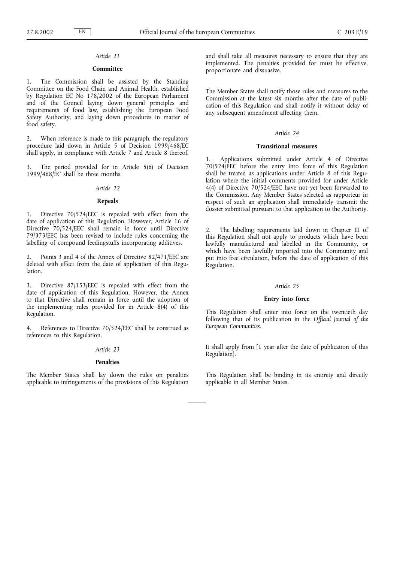# *Article 21*

### **Committee**

The Commission shall be assisted by the Standing Committee on the Food Chain and Animal Health, established by Regulation EC No 178/2002 of the European Parliament and of the Council laying down general principles and requirements of food law, establishing the European Food Safety Authority, and laying down procedures in matter of food safety.

2. When reference is made to this paragraph, the regulatory procedure laid down in Article 5 of Decision 1999/468/EC shall apply, in compliance with Article 7 and Article 8 thereof.

The period provided for in Article 5(6) of Decision  $1999/468/\text{EC}$  shall be three months.

# *Article 22*

## **Repeals**

1. Directive 70/524/EEC is repealed with effect from the date of application of this Regulation. However, Article 16 of Directive 70/524/EEC shall remain in force until Directive 79/373/EEC has been revised to include rules concerning the labelling of compound feedingstuffs incorporating additives.

2. Points 3 and 4 of the Annex of Directive 82/471/EEC are deleted with effect from the date of application of this Regulation.

3. Directive 87/153/EEC is repealed with effect from the date of application of this Regulation. However, the Annex to that Directive shall remain in force until the adoption of the implementing rules provided for in Article 8(4) of this Regulation.

4. References to Directive 70/524/EEC shall be construed as references to this Regulation.

## *Article 23*

## **Penalties**

The Member States shall lay down the rules on penalties applicable to infringements of the provisions of this Regulation and shall take all measures necessary to ensure that they are implemented. The penalties provided for must be effective, proportionate and dissuasive.

The Member States shall notify those rules and measures to the Commission at the latest six months after the date of publication of this Regulation and shall notify it without delay of any subsequent amendment affecting them.

#### *Article 24*

### **Transitional measures**

1. Applications submitted under Article 4 of Directive 70/524/EEC before the entry into force of this Regulation shall be treated as applications under Article 8 of this Regulation where the initial comments provided for under Article 4(4) of Directive 70/524/EEC have not yet been forwarded to the Commission. Any Member States selected as rapporteur in respect of such an application shall immediately transmit the dossier submitted pursuant to that application to the Authority.

2. The labelling requirements laid down in Chapter III of this Regulation shall not apply to products which have been lawfully manufactured and labelled in the Community, or which have been lawfully imported into the Community and put into free circulation, before the date of application of this Regulation.

#### *Article 25*

### **Entry into force**

This Regulation shall enter into force on the twentieth day following that of its publication in the *Official Journal of the European Communities*.

It shall apply from [1 year after the date of publication of this Regulation].

This Regulation shall be binding in its entirety and directly applicable in all Member States.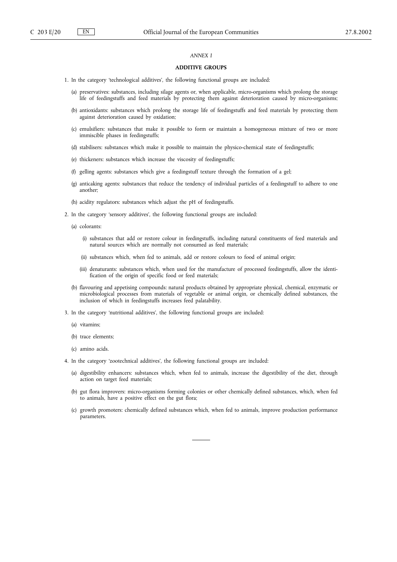### *ANNEX I*

## **ADDITIVE GROUPS**

- 1. In the category 'technological additives', the following functional groups are included:
	- (a) preservatives: substances, including silage agents or, when applicable, micro-organisms which prolong the storage life of feedingstuffs and feed materials by protecting them against deterioration caused by micro-organisms;
	- (b) antioxidants: substances which prolong the storage life of feedingstuffs and feed materials by protecting them against deterioration caused by oxidation;
	- (c) emulsifiers: substances that make it possible to form or maintain a homogeneous mixture of two or more immiscible phases in feedingstuffs;
	- (d) stabilisers: substances which make it possible to maintain the physico-chemical state of feedingstuffs;
	- (e) thickeners: substances which increase the viscosity of feedingstuffs;
	- (f) gelling agents: substances which give a feedingstuff texture through the formation of a gel;
	- (g) anticaking agents: substances that reduce the tendency of individual particles of a feedingstuff to adhere to one another;
	- (h) acidity regulators: substances which adjust the pH of feedingstuffs.
- 2. In the category 'sensory additives', the following functional groups are included:
	- (a) colorants:
		- (i) substances that add or restore colour in feedingstuffs, including natural constituents of feed materials and natural sources which are normally not consumed as feed materials;
		- (ii) substances which, when fed to animals, add or restore colours to food of animal origin;
		- (iii) denaturants: substances which, when used for the manufacture of processed feedingstuffs, allow the identification of the origin of specific food or feed materials;
	- (b) flavouring and appetising compounds: natural products obtained by appropriate physical, chemical, enzymatic or microbiological processes from materials of vegetable or animal origin, or chemically defined substances, the inclusion of which in feedingstuffs increases feed palatability.
- 3. In the category 'nutritional additives', the following functional groups are included:
	- (a) vitamins;
	- (b) trace elements;
	- (c) amino acids.
- 4. In the category 'zootechnical additives', the following functional groups are included:
	- (a) digestibility enhancers: substances which, when fed to animals, increase the digestibility of the diet, through action on target feed materials;
	- (b) gut flora improvers: micro-organisms forming colonies or other chemically defined substances, which, when fed to animals, have a positive effect on the gut flora;
	- (c) growth promoters: chemically defined substances which, when fed to animals, improve production performance parameters.